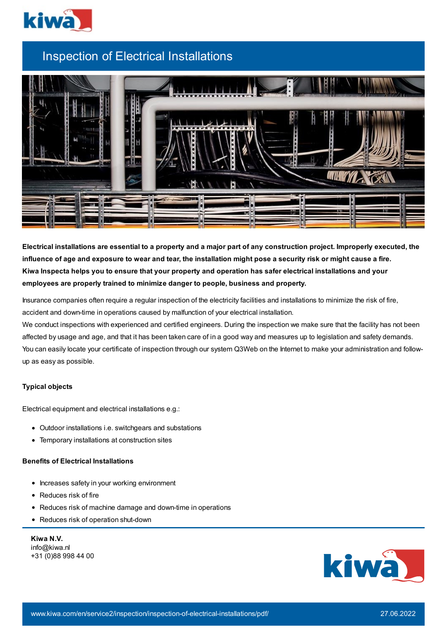

## Inspection of Electrical Installations



Electrical installations are essential to a property and a major part of any construction project. Improperly executed, the influence of age and exposure to wear and tear, the installation might pose a security risk or might cause a fire. Kiwa Inspecta helps you to ensure that your property and operation has safer electrical installations and your **employees are properly trained to minimize danger to people, business and property.**

Insurance companies often require a regular inspection of the electricity facilities and installations to minimize the risk of fire, accident and down-time in operations caused by malfunction of your electrical installation.

We conduct inspections with experienced and certified engineers. During the inspection we make sure that the facility has not been affected by usage and age, and that it has been taken care of in a good way and measures up to legislation and safety demands. You can easily locate your certificate of inspection through our system Q3Web on the Internet to make your administration and followup as easy as possible.

## **Typical objects**

Electrical equipment and electrical installations e.g.:

- Outdoor installations i.e. switchgears and substations
- Temporary installations at construction sites

## **Benefits of Electrical Installations**

- Increases safety in your working environment
- Reduces risk of fire
- Reduces risk of machine damage and down-time in operations
- Reduces risk of operation shut-down

**Kiwa N.V.** info@kiwa.nl +31 (0)88 998 44 00